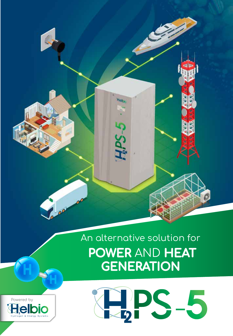

# An alternative solution for **POWER** AND **HEAT GENERATION**



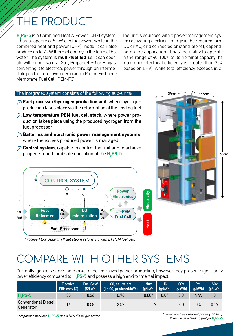**HE PRODUCT** 

**H<sub>2</sub>PS-5** is a Combined Heat & Power (CHP) system. It has a capacity of 5 kW electric power, while in the combined heat and power (CHP) mode, it can also produce up to 7 kW thermal energy in the form of hot water. The system is **multi-fuel fed**, i.e. it can operate with either Natural Gas, Propane/LPG or Biogas, converting it to electrical power through an intermediate production of hydrogen using a Proton Exchange Membrane Fuel Cell (PEM-FC).

The unit is equipped with a power management system delivering electrical energy in the required form (DC or AC, grid connected or stand-alone), depending on the application. It has the ability to operate in the range of 40-100% of its nominal capacity. Its maximum electrical efficiency is greater than 35% (based on LHV), while total efficiency exceeds 85%.

#### The integrated system consists of the following sub-units:

**Fuel processor/hydrogen production unit**, where hydrogen production takes place via the reformation of the feeding fuel

///////

- *i***:** Low temperature PEM fuel cell stack, where power production takes place using the produced hydrogen from the fuel processor
- *<b>Example 18 Batteries and electronic power management systems,* where the excess produced power is managed
- **Properties:** Control system, capable to control the unit and to achieve proper, smooth and safe operation of the H<sub>2</sub>PS-5





*Process Flow Diagram (Fuel steam reforming with LT PEM fuel cell)*

### COMPARE WITH OTHER SYSTEMS

Currently, gensets serve the market of decentralized power production, however they present significantly lower efficiency compared to **H<sub>2</sub>PS-5** and possess a high environmental impact.

|                                         | <b>Electrical</b><br>Efficiency (%) | Fuel Cost*<br>E/kWh | $CO2$ equivalent<br>(kg CO <sub>2</sub> produced/kWh) | <b>NO<sub>x</sub></b> | <b>HC</b><br>$(g/kWh)$ $(g/kWh)$ $(g/kWh)$ | C <sub>O</sub> x | <b>PM</b><br>(a/kWh) | S0x<br>(a/kWh) |
|-----------------------------------------|-------------------------------------|---------------------|-------------------------------------------------------|-----------------------|--------------------------------------------|------------------|----------------------|----------------|
| $H2PS-5$                                | 35                                  | 0.26                | 0.76                                                  | 0.004                 | 0.04                                       | 0.3              | N/A                  |                |
| <b>Conventional Diesel</b><br>Generator | 16                                  | 0.58                | 2.57                                                  |                       | 7.5                                        | 8.0              | 0.4                  | 0.17           |

*Comparison between* **H2 PS-5** *and a 5kW diesel generator*

*\* based on Greek market prices (10/2018). Propane as a feeding fuel for* **H2 PS-5**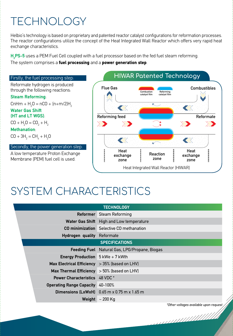## TECHNOLOGY

Helbio's technology is based on proprietary and patented reactor catalyst configurations for reformation processes. The reactor configurations utilize the concept of the Heat Integrated Wall Reactor which offers very rapid heat exchange characteristics.

**H<sub>2</sub>PS-5** uses a PEM Fuel Cell coupled with a fuel processor based on the fed fuel steam reforming.

The system comprises a fuel processing and a power generation step.



## SYSTEM CHARACTERISTICS

|                                                  | <b>TECHNOLOGY</b>                               |                                        |
|--------------------------------------------------|-------------------------------------------------|----------------------------------------|
|                                                  | <b>Reformer</b> Steam Reforming                 |                                        |
|                                                  | Water Gas Shift High and Low temperature        |                                        |
|                                                  | <b>CO minimization</b> Selective CO methanation |                                        |
| Hydrogen quality Reformate                       |                                                 |                                        |
|                                                  | <b>SPECIFICATIONS</b>                           |                                        |
|                                                  | Feeding Fuel Natural Gas, LPG/Propane, Biogas   |                                        |
| <b>Energy Production</b> $5$ kWe + 7 kWth        |                                                 |                                        |
| Max Electrical Efficiency $>35\%$ (based on LHV) |                                                 |                                        |
| Max Thermal Efficiency $>$ 50% (based on LHV)    |                                                 |                                        |
| <b>Power Characteristics</b> 48 VDC *            |                                                 |                                        |
| <b>Operating Range Capacity</b> 40-100%          |                                                 |                                        |
|                                                  | Dimensions (LxWxH) 0.65 m x 0.75 m x 1.65 m     |                                        |
|                                                  | Weight $\sim$ 200 Kg                            |                                        |
|                                                  |                                                 | *Other voltages available upon request |
|                                                  |                                                 |                                        |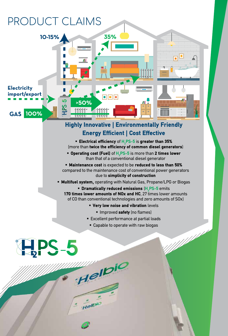

### Energy Efficient | Cost Effective

- $\blacksquare$  Electrical efficiency of  $\mathsf{H}_{2}$ PS-5 is greater than 35% (more than twice the efficiency of common diesel generators)
- **Operating cost (Fuel)** of **H**<sub>2</sub>PS-5 is more than **2 times lower** than that of a conventional diesel generator

 Maintenance cost is expected to be reduced to less than 50% compared to the maintenance cost of conventional power generators due to simplicity of construction

- **Multifuel system, operating with Natural Gas, Propane/LPG or Biogas** 
	- **Dramatically reduced emissions (H<sub>2</sub>PS-5** emits 170 times lower amounts of NOx and HC, 27 times lower amounts of CO than conventional technologies and zero amounts of SOx)
		- **Very low noise and vibration levels** 
			- **Improved safety** (no flames)
		- Excellent performance at partial loads
		- Capable to operate with raw biogas

Helpio

Maria Barat Barat Barat Barat Barat Barat Barat Barat Barat Barat Barat Barat Barat Barat Barat Barat Barat B

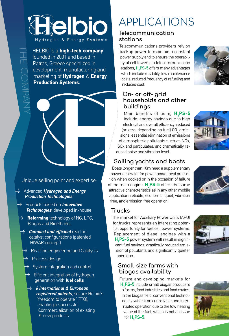# **Eelbio** Hydrogen & Energy Systems

HELBIO is a high-tech company founded in 2001 and based in Patras, Greece specialized in development, manufacturing and marketing of Hydrogen & Energy Production Systems.

THE COMPANY

### Unique selling point and expertise:

- Advanced *Hydrogen and Energy Production Technologies*
- Products based on *Innovative Technologies*, developed in-house
- **Reforming** technology of NG, LPG, Biogas and Bioethanol
	- *Compact and efficient* reactorcatalyst configurations (patented HIWAR concept)
		- •• Reaction engineering and Catalysis
		- **Process design**
		- •• System integration and control
		- **Efficient integration of hydrogen** generation with fuel cells
		- *6 International & European registered patents*, secure Helbio's "freedom to operate "(FTO), enabling a successful Commercialization of existing & new products

## APPLICATIONS

#### **Telecommunication stations**

Telecommunications providers rely on backup power to maintain a constant power supply and to ensure the operability of cell towers. In telecommunication stations, **H<sub>2</sub>PS-5** offers many advantages which include reliability, low maintenance costs, reduced frequency of refueling and reduced cost.

### **On- or off- grid households and other buildings**

Main benefits of using **H2 PS-5** include: energy savings due to high electrical and overall efficiency, reduced (or zero, depending on fuel)  $CO<sub>2</sub>$  emissions, essential elimination of emissions of atmospheric pollutants such as NOx, SOx and particulates, and dramatically reduced noise and vibration level.



### **Sailing yachts and boats**

Βoats longer than 10m need a supplementary power generator for power and/or heat production when docked or in the occasion of failure of the main engine.  $\textbf{H}_{\text{2}}$ PS-5 offers the same attractive characteristics as in any other mobile application: reliable, economic, quiet, vibration free, and emission free operation.



### **Trucks**

The market for Auxiliary Power Units (APU) for trucks represents an interesting potential opportunity for fuel cell power systems. Replacement of diesel engines with a **H2 PS-5** power system will result in significant fuel savings, drastically reduced emission of pollutants and significantly quieter operation.

#### **Small-size farms with biogas availability**

Future and developing markets for **H2 PS-5** include small biogas producers in farms, food industries and food chains. In the biogas field, conventional technologies suffer from unreliable and interrupted operation due to the low heating value of the fuel, which is not an issue for **H2 PS-5**.